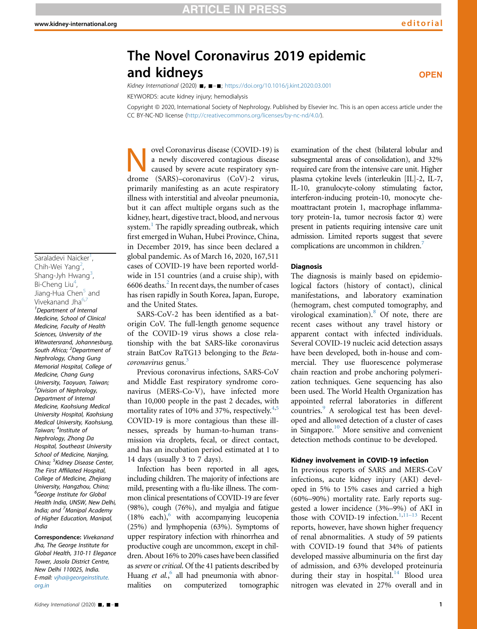**OPEN** 

# The Novel Coronavirus 2019 epidemic and kidneys

Kidney International (2020)  $\blacksquare$ ,  $\blacksquare - \blacksquare$ ; <https://doi.org/10.1016/j.kint.2020.03.001>

KEYWORDS: acute kidney injury; hemodialysis

<span id="page-0-0"></span>Copyright @ 2020, International Society of Nephrology. Published by Elsevier Inc. This is an open access article under the CC BY-NC-ND license (<http://creativecommons.org/licenses/by-nc-nd/4.0/>).

<span id="page-0-6"></span><span id="page-0-5"></span><span id="page-0-4"></span><span id="page-0-3"></span><span id="page-0-2"></span><span id="page-0-1"></span>Saraladevi Naicker<sup>1</sup>, , Chih-Wei Yang<sup>2</sup>, , Shang-Jyh Hwang<sup>[3](#page-0-2)</sup>, , Bi-Cheng Liu<sup>[4](#page-0-3)</sup>, , Jiang-Hua Chen<sup>5</sup> and Vivekanand Jha<sup>[6](#page-0-5)[,7](#page-0-6)</sup> <sup>1</sup>Department of Internal Medicine, School of Clinical Medicine, Faculty of Health Sciences, University of the Witwatersrand, Johannesburg, South Africa; <sup>2</sup>Department of Nephrology, Chang Gung Memorial Hospital, College of Medicine, Chang Gung University, Taoyuan, Taiwan; <sup>3</sup>Division of Nephrology, Department of Internal Medicine, Kaohsiung Medical University Hospital, Kaohsiung Medical University, Kaohsiung, Taiwan; <sup>4</sup>Institute of Nephrology, Zhong Da Hospital, Southeast University School of Medicine, Nanjing, China; <sup>5</sup>Kidney Disease Center, The First Affiliated Hospital, College of Medicine, Zhejiang University, Hangzhou, China; <sup>6</sup>George Institute for Global Health India, UNSW, New Delhi, India; and <sup>7</sup>Manipal Academy of Higher Education, Manipal, India

Correspondence: Vivekanand Jha, The George Institute for Global Health, 310-11 Elegance Tower, Jasola District Centre, New Delhi 110025, India. E-mail: [vjha@georgeinstitute.](mailto:vjha@georgeinstitute.org.in) [org.in](mailto:vjha@georgeinstitute.org.in)

Novel Coronavirus disease (COVID-19) is<br>
a newly discovered contagious disease<br>
caused by severe acute respiratory syn-<br>
drome (SAPS) coronavirus (CoV) 2 virus a newly discovered contagious disease drome (SARS)–coronavirus (CoV)-2 virus, primarily manifesting as an acute respiratory illness with interstitial and alveolar pneumonia, but it can affect multiple organs such as the kidney, heart, digestive tract, blood, and nervous system.<sup>[1](#page-3-0)</sup> The rapidly spreading outbreak, which first emerged in Wuhan, Hubei Province, China, in December 2019, has since been declared a global pandemic. As of March 16, 2020, 167,511 cases of COVID-19 have been reported worldwide in 151 countries (and a cruise ship), with  $6606$  deaths.<sup>[2](#page-3-1)</sup> In recent days, the number of cases has risen rapidly in South Korea, Japan, Europe, and the United States.

SARS-CoV-2 has been identified as a batorigin CoV. The full-length genome sequence of the COVID-19 virus shows a close relationship with the bat SARS-like coronavirus strain BatCov RaTG13 belonging to the Beta-coronavirus genus.<sup>[3](#page-3-2)</sup>

Previous coronavirus infections, SARS-CoV and Middle East respiratory syndrome coronavirus (MERS-Co-V), have infected more than 10,000 people in the past 2 decades, with mortality rates of 10% and 37%, respectively. $4,5$  $4,5$ COVID-19 is more contagious than these illnesses, spreads by human-to-human transmission via droplets, fecal, or direct contact, and has an incubation period estimated at 1 to 14 days (usually 3 to 7 days).

Infection has been reported in all ages, including children. The majority of infections are mild, presenting with a flu-like illness. The common clinical presentations of COVID-19 are fever (98%), cough (76%), and myalgia and fatigue  $(18\% \text{ each})$ , with accompanying leucopenia (25%) and lymphopenia (63%). Symptoms of upper respiratory infection with rhinorrhea and productive cough are uncommon, except in children. About 16% to 20% cases have been classified as severe or critical. Of the 41 patients described by Huang et al.,<sup>[6](#page-4-2)</sup> all had pneumonia with abnormalities on computerized tomographic examination of the chest (bilateral lobular and subsegmental areas of consolidation), and 32% required care from the intensive care unit. Higher plasma cytokine levels (interleukin [IL]-2, IL-7, IL-10, granulocyte-colony stimulating factor, interferon-inducing protein-10, monocyte chemoattractant protein 1, macrophage inflammatory protein-1a, tumor necrosis factor  $\alpha$ ) were present in patients requiring intensive care unit admission. Limited reports suggest that severe complications are uncommon in children.<sup>[7](#page-4-3)</sup>

#### **Diagnosis**

The diagnosis is mainly based on epidemiological factors (history of contact), clinical manifestations, and laboratory examination (hemogram, chest computed tomography, and virological examination). $8$  Of note, there are recent cases without any travel history or apparent contact with infected individuals. Several COVID-19 nucleic acid detection assays have been developed, both in-house and commercial. They use fluorescence polymerase chain reaction and probe anchoring polymerization techniques. Gene sequencing has also been used. The World Health Organization has appointed referral laboratories in different countries.<sup>[9](#page-4-5)</sup> A serological test has been developed and allowed detection of a cluster of cases in Singapore.<sup>[10](#page-4-6)</sup> More sensitive and convenient detection methods continue to be developed.

#### Kidney involvement in COVID-19 infection

In previous reports of SARS and MERS-CoV infections, acute kidney injury (AKI) developed in 5% to 15% cases and carried a high (60%–90%) mortality rate. Early reports suggested a lower incidence (3%–9%) of AKI in those with COVID-19 infection.<sup>[1,](#page-3-0)11-[13](#page-4-7)</sup> Recent reports, however, have shown higher frequency of renal abnormalities. A study of 59 patients with COVID-19 found that 34% of patients developed massive albuminuria on the first day of admission, and 63% developed proteinuria during their stay in hospital.<sup>[14](#page-4-8)</sup> Blood urea nitrogen was elevated in 27% overall and in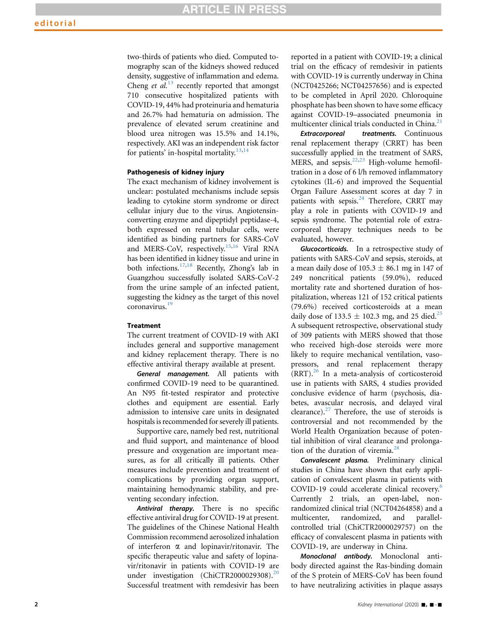two-thirds of patients who died. Computed tomography scan of the kidneys showed reduced density, suggestive of inflammation and edema. Cheng et  $al$ <sup>[13](#page-4-9)</sup> recently reported that amongst 710 consecutive hospitalized patients with COVID-19, 44% had proteinuria and hematuria and 26.7% had hematuria on admission. The prevalence of elevated serum creatinine and blood urea nitrogen was 15.5% and 14.1%, respectively. AKI was an independent risk factor for patients' in-hospital mortality. $13,14$  $13,14$ 

#### Pathogenesis of kidney injury

The exact mechanism of kidney involvement is unclear: postulated mechanisms include sepsis leading to cytokine storm syndrome or direct cellular injury due to the virus. Angiotensinconverting enzyme and dipeptidyl peptidase-4, both expressed on renal tubular cells, were identified as binding partners for SARS-CoV and MERS-CoV, respectively.[15,](#page-4-10)[16](#page-4-11) Viral RNA has been identified in kidney tissue and urine in both infections.[17](#page-4-12)[,18](#page-4-13) Recently, Zhong's lab in Guangzhou successfully isolated SARS-CoV-2 from the urine sample of an infected patient, suggesting the kidney as the target of this novel coronavirus.[19](#page-4-14)

## **Treatment**

The current treatment of COVID-19 with AKI includes general and supportive management and kidney replacement therapy. There is no effective antiviral therapy available at present.

General management. All patients with confirmed COVID-19 need to be quarantined. An N95 fit-tested respirator and protective clothes and equipment are essential. Early admission to intensive care units in designated hospitals is recommended for severely ill patients.

Supportive care, namely bed rest, nutritional and fluid support, and maintenance of blood pressure and oxygenation are important measures, as for all critically ill patients. Other measures include prevention and treatment of complications by providing organ support, maintaining hemodynamic stability, and preventing secondary infection.

Antiviral therapy. There is no specific effective antiviral drug for COVID-19 at present. The guidelines of the Chinese National Health Commission recommend aerosolized inhalation of interferon  $\alpha$  and lopinavir/ritonavir. The specific therapeutic value and safety of lopinavir/ritonavir in patients with COVID-19 are under investigation (ChiCTR[20](#page-4-15)00029308).<sup>20</sup> Successful treatment with remdesivir has been reported in a patient with COVID-19; a clinical trial on the efficacy of remdesivir in patients with COVID-19 is currently underway in China (NCT0425266; NCT04257656) and is expected to be completed in April 2020. Chloroquine phosphate has been shown to have some efficacy against COVID-19–associated pneumonia in multicenter clinical trials conducted in China.<sup>[21](#page-4-16)</sup>

Extracorporeal treatments. Continuous renal replacement therapy (CRRT) has been successfully applied in the treatment of SARS, MERS, and sepsis. $^{22,23}$  $^{22,23}$  $^{22,23}$  $^{22,23}$  High-volume hemofiltration in a dose of 6 l/h removed inflammatory cytokines (IL-6) and improved the Sequential Organ Failure Assessment scores at day 7 in patients with sepsis.<sup>[24](#page-4-19)</sup> Therefore, CRRT may play a role in patients with COVID-19 and sepsis syndrome. The potential role of extracorporeal therapy techniques needs to be evaluated, however.

Glucocorticoids. In a retrospective study of patients with SARS-CoV and sepsis, steroids, at a mean daily dose of 105.3  $\pm$  86.1 mg in 147 of 249 noncritical patients (59.0%), reduced mortality rate and shortened duration of hospitalization, whereas 121 of 152 critical patients (79.6%) received corticosteroids at a mean daily dose of 133.5  $\pm$  102.3 mg, and [25](#page-4-20) died.<sup>25</sup> A subsequent retrospective, observational study of 309 patients with MERS showed that those who received high-dose steroids were more likely to require mechanical ventilation, vasopressors, and renal replacement therapy (RRT).[26](#page-4-21) In a meta-analysis of corticosteroid use in patients with SARS, 4 studies provided conclusive evidence of harm (psychosis, diabetes, avascular necrosis, and delayed viral clearance). $27$  Therefore, the use of steroids is controversial and not recommended by the World Health Organization because of potential inhibition of viral clearance and prolonga-tion of the duration of viremia.<sup>[28](#page-4-23)</sup>

Convalescent plasma. Preliminary clinical studies in China have shown that early application of convalescent plasma in patients with COVID-19 could accelerate clinical recovery.<sup>[6](#page-4-2)</sup> Currently 2 trials, an open-label, nonrandomized clinical trial (NCT04264858) and a multicenter, randomized, and parallelcontrolled trial (ChiCTR2000029757) on the efficacy of convalescent plasma in patients with COVID-19, are underway in China.

Monoclonal antibody. Monoclonal antibody directed against the Ras-binding domain of the S protein of MERS-CoV has been found to have neutralizing activities in plaque assays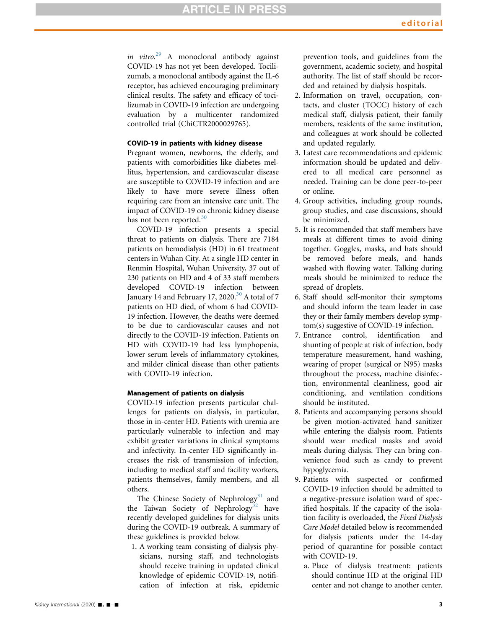# **RTICLE IN PRESS**

in vitro.<sup>[29](#page-4-24)</sup> A monoclonal antibody against COVID-19 has not yet been developed. Tocilizumab, a monoclonal antibody against the IL-6 receptor, has achieved encouraging preliminary clinical results. The safety and efficacy of tocilizumab in COVID-19 infection are undergoing evaluation by a multicenter randomized controlled trial (ChiCTR2000029765).

## COVID-19 in patients with kidney disease

Pregnant women, newborns, the elderly, and patients with comorbidities like diabetes mellitus, hypertension, and cardiovascular disease are susceptible to COVID-19 infection and are likely to have more severe illness often requiring care from an intensive care unit. The impact of COVID-19 on chronic kidney disease has not been reported.<sup>[30](#page-4-25)</sup>

COVID-19 infection presents a special threat to patients on dialysis. There are 7184 patients on hemodialysis (HD) in 61 treatment centers in Wuhan City. At a single HD center in Renmin Hospital, Wuhan University, 37 out of 230 patients on HD and 4 of 33 staff members developed COVID-19 infection between January 14 and February 17, 2020. $30$  A total of 7 patients on HD died, of whom 6 had COVID-19 infection. However, the deaths were deemed to be due to cardiovascular causes and not directly to the COVID-19 infection. Patients on HD with COVID-19 had less lymphopenia, lower serum levels of inflammatory cytokines, and milder clinical disease than other patients with COVID-19 infection.

# Management of patients on dialysis

COVID-19 infection presents particular challenges for patients on dialysis, in particular, those in in-center HD. Patients with uremia are particularly vulnerable to infection and may exhibit greater variations in clinical symptoms and infectivity. In-center HD significantly increases the risk of transmission of infection, including to medical staff and facility workers, patients themselves, family members, and all others.

The Chinese Society of Nephrology<sup>[31](#page-4-26)</sup> and the Taiwan Society of Nephrology<sup>[32](#page-4-27)</sup> have recently developed guidelines for dialysis units during the COVID-19 outbreak. A summary of these guidelines is provided below.

1. A working team consisting of dialysis physicians, nursing staff, and technologists should receive training in updated clinical knowledge of epidemic COVID-19, notification of infection at risk, epidemic

prevention tools, and guidelines from the government, academic society, and hospital authority. The list of staff should be recorded and retained by dialysis hospitals.

- 2. Information on travel, occupation, contacts, and cluster (TOCC) history of each medical staff, dialysis patient, their family members, residents of the same institution, and colleagues at work should be collected and updated regularly.
- 3. Latest care recommendations and epidemic information should be updated and delivered to all medical care personnel as needed. Training can be done peer-to-peer or online.
- 4. Group activities, including group rounds, group studies, and case discussions, should be minimized.
- 5. It is recommended that staff members have meals at different times to avoid dining together. Goggles, masks, and hats should be removed before meals, and hands washed with flowing water. Talking during meals should be minimized to reduce the spread of droplets.
- 6. Staff should self-monitor their symptoms and should inform the team leader in case they or their family members develop symptom(s) suggestive of COVID-19 infection.
- 7. Entrance control, identification and shunting of people at risk of infection, body temperature measurement, hand washing, wearing of proper (surgical or N95) masks throughout the process, machine disinfection, environmental cleanliness, good air conditioning, and ventilation conditions should be instituted.
- 8. Patients and accompanying persons should be given motion-activated hand sanitizer while entering the dialysis room. Patients should wear medical masks and avoid meals during dialysis. They can bring convenience food such as candy to prevent hypoglycemia.
- 9. Patients with suspected or confirmed COVID-19 infection should be admitted to a negative-pressure isolation ward of specified hospitals. If the capacity of the isolation facility is overloaded, the Fixed Dialysis Care Model detailed below is recommended for dialysis patients under the 14-day period of quarantine for possible contact with COVID-19.
	- a. Place of dialysis treatment: patients should continue HD at the original HD center and not change to another center.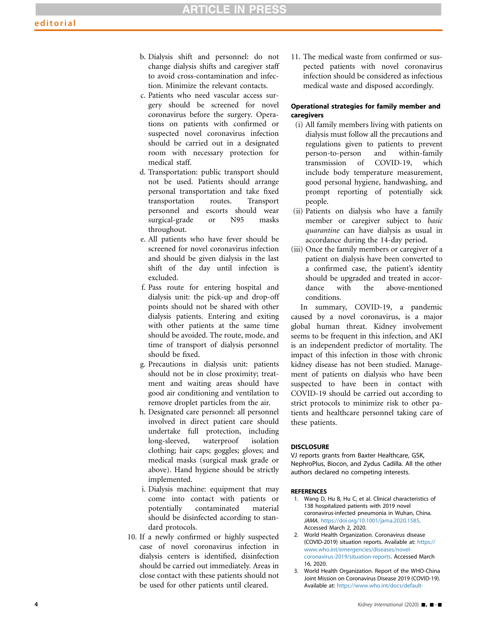- b. Dialysis shift and personnel: do not change dialysis shifts and caregiver staff to avoid cross-contamination and infection. Minimize the relevant contacts.
- c. Patients who need vascular access surgery should be screened for novel coronavirus before the surgery. Operations on patients with confirmed or suspected novel coronavirus infection should be carried out in a designated room with necessary protection for medical staff.
- d. Transportation: public transport should not be used. Patients should arrange personal transportation and take fixed transportation routes. Transport personnel and escorts should wear surgical-grade or N95 masks throughout.
- e. All patients who have fever should be screened for novel coronavirus infection and should be given dialysis in the last shift of the day until infection is excluded.
- f. Pass route for entering hospital and dialysis unit: the pick-up and drop-off points should not be shared with other dialysis patients. Entering and exiting with other patients at the same time should be avoided. The route, mode, and time of transport of dialysis personnel should be fixed.
- g. Precautions in dialysis unit: patients should not be in close proximity; treatment and waiting areas should have good air conditioning and ventilation to remove droplet particles from the air.
- h. Designated care personnel: all personnel involved in direct patient care should undertake full protection, including long-sleeved, waterproof isolation clothing; hair caps; goggles; gloves; and medical masks (surgical mask grade or above). Hand hygiene should be strictly implemented.
- i. Dialysis machine: equipment that may come into contact with patients or potentially contaminated material should be disinfected according to standard protocols.
- 10. If a newly confirmed or highly suspected case of novel coronavirus infection in dialysis centers is identified, disinfection should be carried out immediately. Areas in close contact with these patients should not be used for other patients until cleared.

11. The medical waste from confirmed or suspected patients with novel coronavirus infection should be considered as infectious medical waste and disposed accordingly.

#### Operational strategies for family member and caregivers

- (i) All family members living with patients on dialysis must follow all the precautions and regulations given to patients to prevent person-to-person and within-family transmission of COVID-19, which include body temperature measurement, good personal hygiene, handwashing, and prompt reporting of potentially sick people.
- (ii) Patients on dialysis who have a family member or caregiver subject to basic quarantine can have dialysis as usual in accordance during the 14-day period.
- (iii) Once the family members or caregiver of a patient on dialysis have been converted to a confirmed case, the patient's identity should be upgraded and treated in accordance with the above-mentioned conditions.

In summary, COVID-19, a pandemic caused by a novel coronavirus, is a major global human threat. Kidney involvement seems to be frequent in this infection, and AKI is an independent predictor of mortality. The impact of this infection in those with chronic kidney disease has not been studied. Management of patients on dialysis who have been suspected to have been in contact with COVID-19 should be carried out according to strict protocols to minimize risk to other patients and healthcare personnel taking care of these patients.

### **DISCLOSURE**

VJ reports grants from Baxter Healthcare, GSK, NephroPlus, Biocon, and Zydus Cadilla. All the other authors declared no competing interests.

#### <span id="page-3-0"></span>**REFERENCES**

- 1. Wang D, Hu B, Hu C, et al. Clinical characteristics of 138 hospitalized patients with 2019 novel coronavirus-infected pneumonia in Wuhan, China. JAMA. <https://doi.org/10.1001/jama.2020.1585>. Accessed March 2, 2020.
- <span id="page-3-1"></span>2. World Health Organization. Coronavirus disease (COVID-2019) situation reports. Available at: [https://](https://www.who.int/emergencies/diseases/novel-coronavirus-2019/situation-reports) [www.who.int/emergencies/diseases/novel](https://www.who.int/emergencies/diseases/novel-coronavirus-2019/situation-reports)[coronavirus-2019/situation-reports.](https://www.who.int/emergencies/diseases/novel-coronavirus-2019/situation-reports) Accessed March 16, 2020.
- <span id="page-3-2"></span>3. World Health Organization. Report of the WHO-China Joint Mission on Coronavirus Disease 2019 (COVID-19). Available at: [https://www.who.int/docs/default-](https://www.who.int/docs/default-source/coronaviruse/who-china-joint-mission-on-covid-19-final-report.pdf)